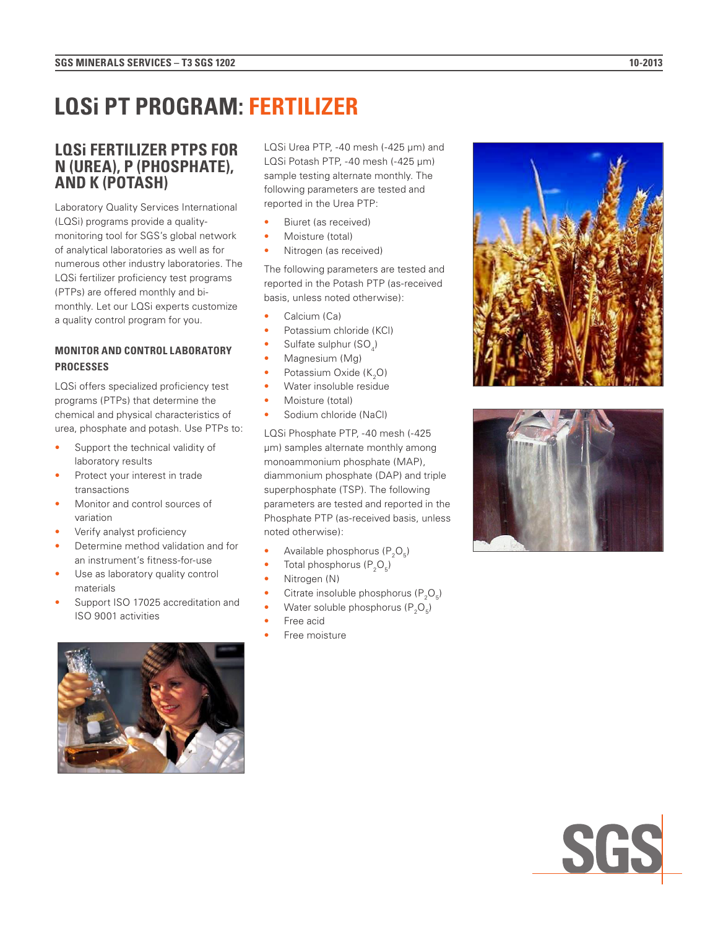# **LQS i PT PROGRAM: FERTILIZER**

## **LQSi FERTILIZER PTPS FOR N (UREA), P (PHOSPHATE), AND K (POTASH)**

Laboratory Quality Services International (LQSi) programs provide a qualitymonitoring tool for SGS's global network of analytical laboratories as well as for numerous other industry laboratories. The LQSi fertilizer proficiency test programs (PTPs) are offered monthly and bimonthly. Let our LQSi experts customize a quality control program for you.

### **MONITOR AND CONTROL LABORATORY PROCESSES**

LQSi offers specialized proficiency test programs (PTPs) that determine the chemical and physical characteristics of urea, phosphate and potash. Use PTPs to:

- Support the technical validity of laboratory results
- Protect your interest in trade transactions
- Monitor and control sources of variation
- Verify analyst proficiency
- Determine method validation and for an instrument's fitness-for-use
- Use as laboratory quality control materials
- Support ISO 17025 accreditation and ISO 9001 activities



LQSi Urea PTP, -40 mesh (-425 µm) and LQSi Potash PTP, -40 mesh (-425 µm) sample testing alternate monthly. The following parameters are tested and reported in the Urea PTP:

- Biuret (as received)
- Moisture (total)
- Nitrogen (as received)

The following parameters are tested and reported in the Potash PTP (as-received basis, unless noted otherwise):

- Calcium (Ca)
- Potassium chloride (KCl)
- Sulfate sulphur (SO<sub>4</sub>)
- Magnesium (Mg)
- Potassium Oxide  $(K_2O)$
- Water insoluble residue
- Moisture (total)
- Sodium chloride (NaCl)

LQSi Phosphate PTP, -40 mesh (-425 µm) samples alternate monthly among monoammonium phosphate (MAP), diammonium phosphate (DAP) and triple superphosphate (TSP). The following parameters are tested and reported in the Phosphate PTP (as-received basis, unless noted otherwise):

- Available phosphorus  $(P_2O_5)$
- Total phosphorus  $(P_2O_5)$
- Nitrogen (N)
- Citrate insoluble phosphorus ( $P_2O_5$ )
- Water soluble phosphorus ( $P_2O_5$ )
- Free acid
- Free moisture